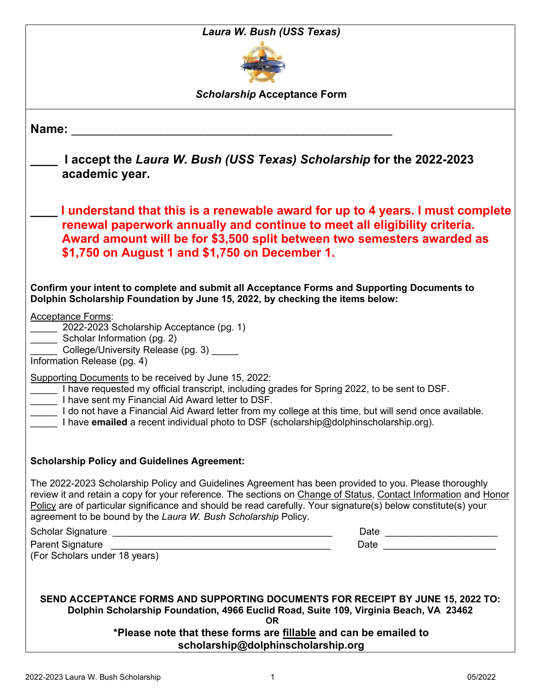| Laura W. Bush (USS Texas)                                                                                                                                                                                                                                                                                                                                                                                           |  |  |
|---------------------------------------------------------------------------------------------------------------------------------------------------------------------------------------------------------------------------------------------------------------------------------------------------------------------------------------------------------------------------------------------------------------------|--|--|
|                                                                                                                                                                                                                                                                                                                                                                                                                     |  |  |
| <b>Scholarship Acceptance Form</b>                                                                                                                                                                                                                                                                                                                                                                                  |  |  |
| Name:                                                                                                                                                                                                                                                                                                                                                                                                               |  |  |
| I accept the Laura W. Bush (USS Texas) Scholarship for the 2022-2023<br>academic year.                                                                                                                                                                                                                                                                                                                              |  |  |
| I understand that this is a renewable award for up to 4 years. I must complete<br>renewal paperwork annually and continue to meet all eligibility criteria.<br>Award amount will be for \$3,500 split between two semesters awarded as<br>\$1,750 on August 1 and \$1,750 on December 1.                                                                                                                            |  |  |
| Confirm your intent to complete and submit all Acceptance Forms and Supporting Documents to<br>Dolphin Scholarship Foundation by June 15, 2022, by checking the items below:                                                                                                                                                                                                                                        |  |  |
| <b>Acceptance Forms:</b><br>2022-2023 Scholarship Acceptance (pg. 1)<br>Scholar Information (pg. 2)<br>College/University Release (pg. 3) _____<br>Information Release (pg. 4)                                                                                                                                                                                                                                      |  |  |
| Supporting Documents to be received by June 15, 2022:<br>I have requested my official transcript, including grades for Spring 2022, to be sent to DSF.<br>I have sent my Financial Aid Award letter to DSF.<br>do not have a Financial Aid Award letter from my college at this time, but will send once available.<br>I have <b>emailed</b> a recent individual photo to DSF (scholarship@dolphinscholarship.org). |  |  |
| <b>Scholarship Policy and Guidelines Agreement:</b>                                                                                                                                                                                                                                                                                                                                                                 |  |  |
| The 2022-2023 Scholarship Policy and Guidelines Agreement has been provided to you. Please thoroughly<br>review it and retain a copy for your reference. The sections on Change of Status, Contact Information and Honor<br>Policy are of particular significance and should be read carefully. Your signature(s) below constitute(s) your<br>agreement to be bound by the Laura W. Bush Scholarship Policy.        |  |  |
| Date ________________________<br>Date _________________________<br>(For Scholars under 18 years)                                                                                                                                                                                                                                                                                                                    |  |  |
| SEND ACCEPTANCE FORMS AND SUPPORTING DOCUMENTS FOR RECEIPT BY JUNE 15, 2022 TO:<br>Dolphin Scholarship Foundation, 4966 Euclid Road, Suite 109, Virginia Beach, VA 23462                                                                                                                                                                                                                                            |  |  |
| OR.<br>*Please note that these forms are fillable and can be emailed to<br>scholarship@dolphinscholarship.org                                                                                                                                                                                                                                                                                                       |  |  |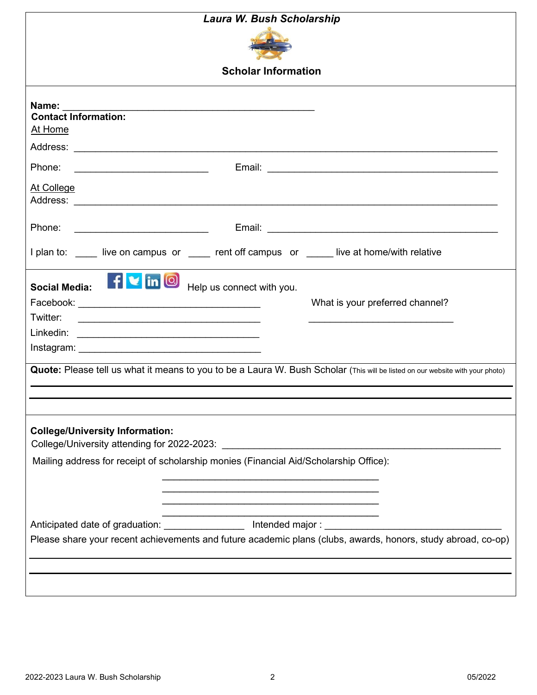| Laura W. Bush Scholarship                                                                                                                                                                                                                                                                                  |  |  |
|------------------------------------------------------------------------------------------------------------------------------------------------------------------------------------------------------------------------------------------------------------------------------------------------------------|--|--|
|                                                                                                                                                                                                                                                                                                            |  |  |
| <b>Scholar Information</b>                                                                                                                                                                                                                                                                                 |  |  |
| Name:<br><b>Contact Information:</b><br>At Home<br>Phone:<br>At College                                                                                                                                                                                                                                    |  |  |
| Phone:                                                                                                                                                                                                                                                                                                     |  |  |
| I plan to: ____ live on campus or ____ rent off campus or ____ live at home/with relative                                                                                                                                                                                                                  |  |  |
| f in <b>O</b> Help us connect with you.<br><b>Social Media:</b><br>What is your preferred channel?<br>Twitter:<br><u> 1980 - Johann Barnett, fransk politik (d. 1980)</u><br>Quote: Please tell us what it means to you to be a Laura W. Bush Scholar (This will be listed on our website with your photo) |  |  |
| <b>College/University Information:</b><br>Mailing address for receipt of scholarship monies (Financial Aid/Scholarship Office):<br><u> 1989 - Johann John Stone, markin film yn y brening yn y brening yn y brening yn y brening yn y brening yn y b</u>                                                   |  |  |
| Anticipated date of graduation: ____________________ Intended major : ______________________________<br>Please share your recent achievements and future academic plans (clubs, awards, honors, study abroad, co-op)                                                                                       |  |  |
|                                                                                                                                                                                                                                                                                                            |  |  |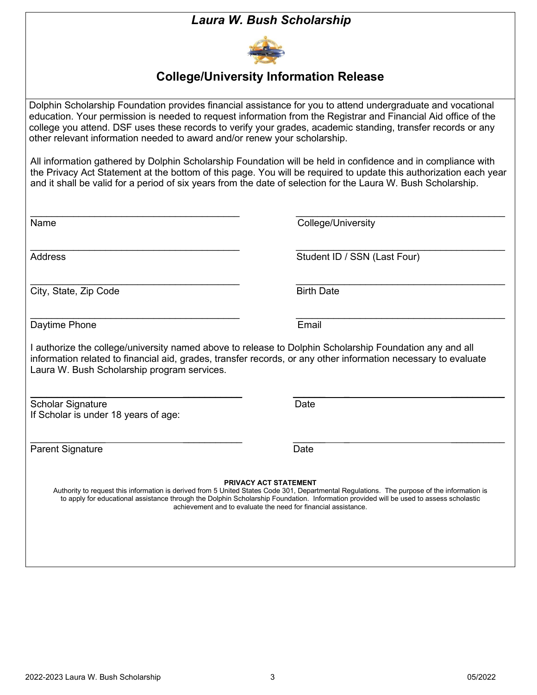## *Laura W. Bush Scholarship*



## **College/University Information Release**

Dolphin Scholarship Foundation provides financial assistance for you to attend undergraduate and vocational education. Your permission is needed to request information from the Registrar and Financial Aid office of the college you attend. DSF uses these records to verify your grades, academic standing, transfer records or any other relevant information needed to award and/or renew your scholarship.

All information gathered by Dolphin Scholarship Foundation will be held in confidence and in compliance with the Privacy Act Statement at the bottom of this page. You will be required to update this authorization each year and it shall be valid for a period of six years from the date of selection for the Laura W. Bush Scholarship.

| Name                                                             | College/University                                                                                                                                                                                                                                                                                                                                                                      |
|------------------------------------------------------------------|-----------------------------------------------------------------------------------------------------------------------------------------------------------------------------------------------------------------------------------------------------------------------------------------------------------------------------------------------------------------------------------------|
| <b>Address</b>                                                   | Student ID / SSN (Last Four)                                                                                                                                                                                                                                                                                                                                                            |
| City, State, Zip Code                                            | <b>Birth Date</b>                                                                                                                                                                                                                                                                                                                                                                       |
| Daytime Phone                                                    | Email                                                                                                                                                                                                                                                                                                                                                                                   |
| Laura W. Bush Scholarship program services.                      | I authorize the college/university named above to release to Dolphin Scholarship Foundation any and all<br>information related to financial aid, grades, transfer records, or any other information necessary to evaluate                                                                                                                                                               |
| <b>Scholar Signature</b><br>If Scholar is under 18 years of age: | Date                                                                                                                                                                                                                                                                                                                                                                                    |
| <b>Parent Signature</b>                                          | Date                                                                                                                                                                                                                                                                                                                                                                                    |
|                                                                  | <b>PRIVACY ACT STATEMENT</b><br>Authority to request this information is derived from 5 United States Code 301, Departmental Regulations. The purpose of the information is<br>to apply for educational assistance through the Dolphin Scholarship Foundation. Information provided will be used to assess scholastic<br>achievement and to evaluate the need for financial assistance. |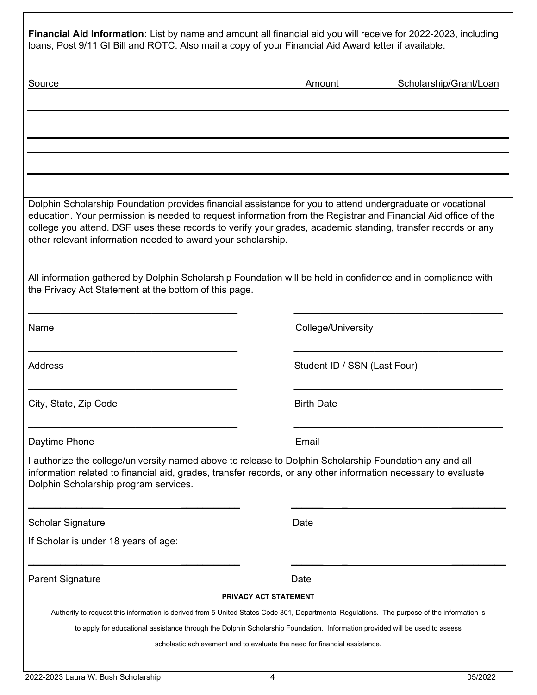|                                                              | Financial Aid Information: List by name and amount all financial aid you will receive for 2022-2023, including                                                                                                                                                                                                                                                                                                                                               |
|--------------------------------------------------------------|--------------------------------------------------------------------------------------------------------------------------------------------------------------------------------------------------------------------------------------------------------------------------------------------------------------------------------------------------------------------------------------------------------------------------------------------------------------|
|                                                              | loans, Post 9/11 GI Bill and ROTC. Also mail a copy of your Financial Aid Award letter if available.                                                                                                                                                                                                                                                                                                                                                         |
| <b>Source</b>                                                | Scholarship/Grant/Loan<br>Amount                                                                                                                                                                                                                                                                                                                                                                                                                             |
|                                                              |                                                                                                                                                                                                                                                                                                                                                                                                                                                              |
|                                                              |                                                                                                                                                                                                                                                                                                                                                                                                                                                              |
|                                                              |                                                                                                                                                                                                                                                                                                                                                                                                                                                              |
| other relevant information needed to award your scholarship. | Dolphin Scholarship Foundation provides financial assistance for you to attend undergraduate or vocational<br>education. Your permission is needed to request information from the Registrar and Financial Aid office of the<br>college you attend. DSF uses these records to verify your grades, academic standing, transfer records or any<br>All information gathered by Dolphin Scholarship Foundation will be held in confidence and in compliance with |
| the Privacy Act Statement at the bottom of this page.        |                                                                                                                                                                                                                                                                                                                                                                                                                                                              |
| Name                                                         | College/University                                                                                                                                                                                                                                                                                                                                                                                                                                           |
| <b>Address</b>                                               | Student ID / SSN (Last Four)                                                                                                                                                                                                                                                                                                                                                                                                                                 |
| City, State, Zip Code                                        | <b>Birth Date</b>                                                                                                                                                                                                                                                                                                                                                                                                                                            |
| Daytime Phone                                                | Email                                                                                                                                                                                                                                                                                                                                                                                                                                                        |
| Dolphin Scholarship program services.                        | I authorize the college/university named above to release to Dolphin Scholarship Foundation any and all<br>information related to financial aid, grades, transfer records, or any other information necessary to evaluate                                                                                                                                                                                                                                    |
|                                                              |                                                                                                                                                                                                                                                                                                                                                                                                                                                              |

If Scholar is under 18 years of age:

Parent Signature **Date** Date

## **PRIVACY ACT STATEMENT**

 $\overline{\phantom{a}}$  , and the contract of the contract of the contract of the contract of the contract of the contract of the contract of the contract of the contract of the contract of the contract of the contract of the contrac

Authority to request this information is derived from 5 United States Code 301, Departmental Regulations. The purpose of the information is

to apply for educational assistance through the Dolphin Scholarship Foundation. Information provided will be used to assess

scholastic achievement and to evaluate the need for financial assistance.